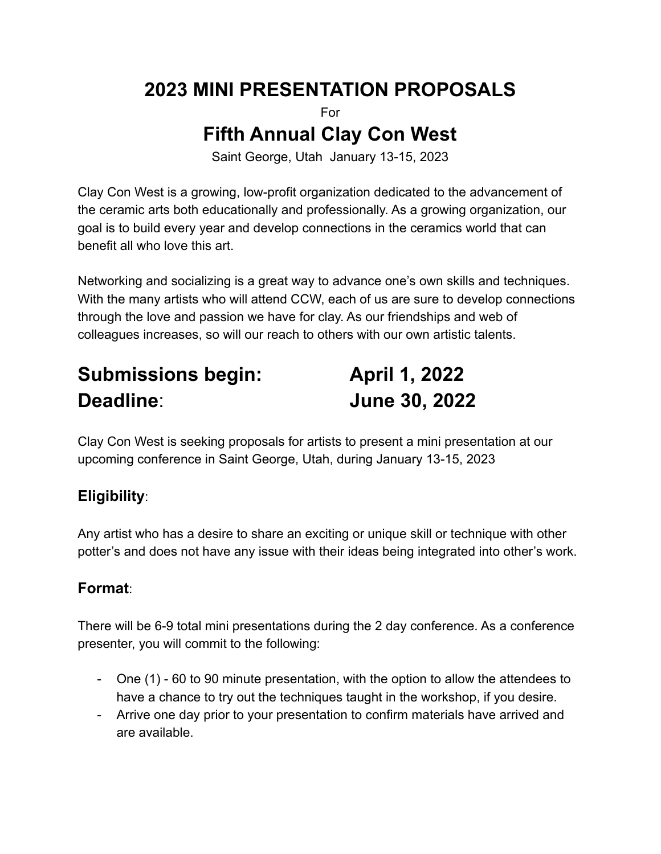## **2023 MINI PRESENTATION PROPOSALS**

For

## **Fifth Annual Clay Con West**

Saint George, Utah January 13-15, 2023

Clay Con West is a growing, low-profit organization dedicated to the advancement of the ceramic arts both educationally and professionally. As a growing organization, our goal is to build every year and develop connections in the ceramics world that can benefit all who love this art.

Networking and socializing is a great way to advance one's own skills and techniques. With the many artists who will attend CCW, each of us are sure to develop connections through the love and passion we have for clay. As our friendships and web of colleagues increases, so will our reach to others with our own artistic talents.

# **Submissions begin: April 1, 2022 Deadline**: **June 30, 2022**

Clay Con West is seeking proposals for artists to present a mini presentation at our upcoming conference in Saint George, Utah, during January 13-15, 2023

## **Eligibility**:

Any artist who has a desire to share an exciting or unique skill or technique with other potter's and does not have any issue with their ideas being integrated into other's work.

## **Format**:

There will be 6-9 total mini presentations during the 2 day conference. As a conference presenter, you will commit to the following:

- One (1) 60 to 90 minute presentation, with the option to allow the attendees to have a chance to try out the techniques taught in the workshop, if you desire.
- Arrive one day prior to your presentation to confirm materials have arrived and are available.